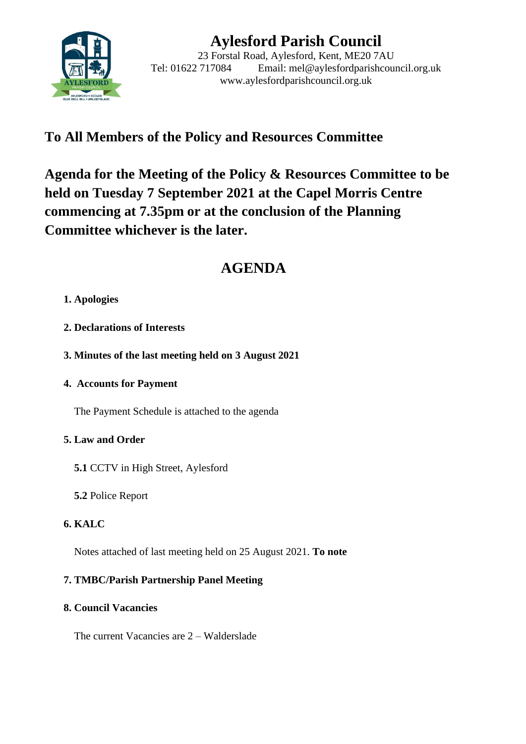

# **Aylesford Parish Council**

23 Forstal Road, Aylesford, Kent, ME20 7AU Tel: 01622 717084 Email: mel@aylesfordparishcouncil.org.uk www.aylesfordparishcouncil.org.uk

## **To All Members of the Policy and Resources Committee**

**Agenda for the Meeting of the Policy & Resources Committee to be held on Tuesday 7 September 2021 at the Capel Morris Centre commencing at 7.35pm or at the conclusion of the Planning Committee whichever is the later.**

## **AGENDA**

- **1. Apologies**
- **2. Declarations of Interests**
- **3. Minutes of the last meeting held on 3 August 2021**
- **4. Accounts for Payment**

The Payment Schedule is attached to the agenda

#### **5. Law and Order**

- **5.1** CCTV in High Street, Aylesford
- **5.2** Police Report

### **6. KALC**

Notes attached of last meeting held on 25 August 2021. **To note**

### **7. TMBC/Parish Partnership Panel Meeting**

#### **8. Council Vacancies**

The current Vacancies are 2 – Walderslade